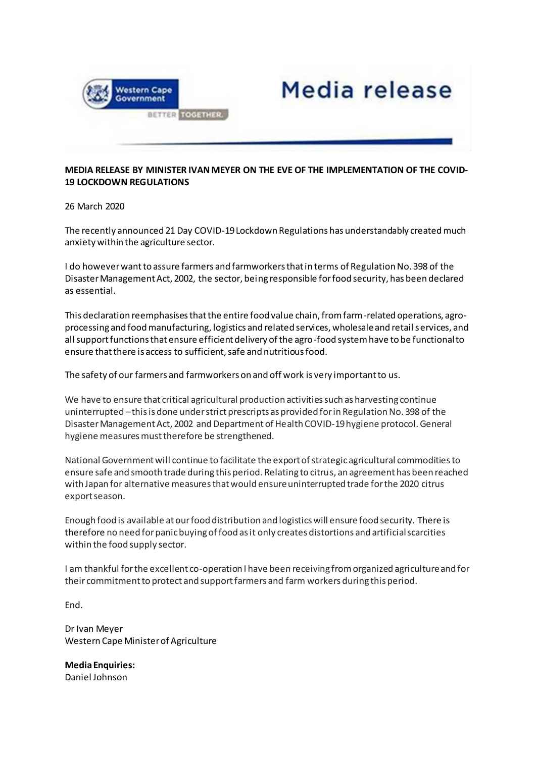

## **MEDIA RELEASE BY MINISTER IVAN MEYER ON THE EVE OF THE IMPLEMENTATION OF THE COVID-19 LOCKDOWN REGULATIONS**

Media release

26 March 2020

The recently announced 21 Day COVID-19 Lockdown Regulations has understandably created much anxiety within the agriculture sector.

I do however want to assure farmers and farmworkers that in terms of Regulation No. 398 of the Disaster Management Act, 2002, the sector, being responsible for food security, has been declared as essential.

This declaration reemphasises that the entire food value chain, from farm-related operations, agroprocessing and food manufacturing, logistics and related services, wholesale and retail services, and all support functions that ensure efficient delivery of the agro-food system have to be functional to ensure that there is access to sufficient, safe and nutritious food.

The safety of our farmers and farmworkers on and off work is very important to us.

We have to ensure that critical agricultural production activities such as harvesting continue uninterrupted –this is done under strict prescripts as provided for in Regulation No. 398 of the Disaster Management Act, 2002 and Department of Health COVID-19 hygiene protocol. General hygiene measures must therefore be strengthened.

National Government will continue to facilitate the export of strategic agricultural commodities to ensure safe and smooth trade during this period. Relating to citrus, an agreement has been reached with Japan for alternative measures that would ensure uninterrupted trade for the 2020 citrus export season.

Enough food is available at our food distribution and logistics will ensure food security. There is therefore no need for panic buying of food as it only creates distortions and artificial scarcities within the food supply sector.

I am thankful for the excellent co-operation I have been receiving from organized agriculture and for their commitment to protect and support farmers and farm workers during this period.

End.

Dr Ivan Meyer Western Cape Minister of Agriculture

**Media Enquiries:** Daniel Johnson